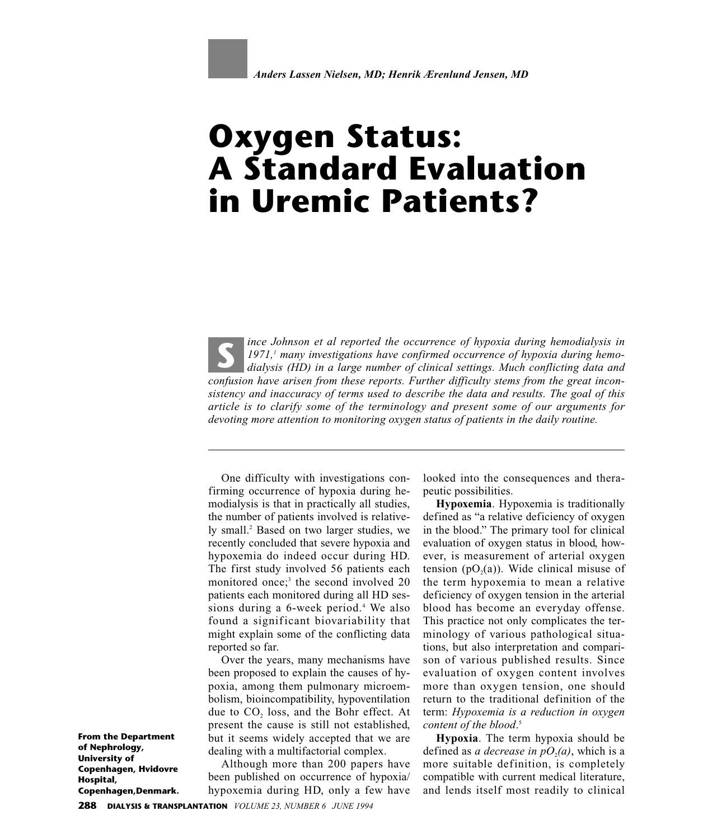

# **Oxygen Status: A Standard Evaluation in Uremic Patients?**

*ince Johnson et al reported the occurrence of hypoxia during hemodialysis in 1971,1 many investigations have confirmed occurrence of hypoxia during hemodialysis (HD) in a large number of clinical settings. Much conflicting data and confusion have arisen from these reports. Further difficulty stems from the great inconsistency and inaccuracy of terms used to describe the data and results. The goal of this article is to clarify some of the terminology and present some of our arguments for devoting more attention to monitoring oxygen status of patients in the daily routine.* **S**

One difficulty with investigations confirming occurrence of hypoxia during hemodialysis is that in practically all studies, the number of patients involved is relatively small.2 Based on two larger studies, we recently concluded that severe hypoxia and hypoxemia do indeed occur during HD. The first study involved 56 patients each monitored once;<sup>3</sup> the second involved 20 patients each monitored during all HD sessions during a 6-week period.<sup>4</sup> We also found a significant biovariability that might explain some of the conflicting data reported so far.

Over the years, many mechanisms have been proposed to explain the causes of hypoxia, among them pulmonary microembolism, bioincompatibility, hypoventilation due to CO<sub>2</sub> loss, and the Bohr effect. At present the cause is still not established, but it seems widely accepted that we are dealing with a multifactorial complex.

Although more than 200 papers have been published on occurrence of hypoxia/ hypoxemia during HD, only a few have

looked into the consequences and therapeutic possibilities.

**Hypoxemia**. Hypoxemia is traditionally defined as "a relative deficiency of oxygen in the blood." The primary tool for clinical evaluation of oxygen status in blood, however, is measurement of arterial oxygen tension  $(pO<sub>2</sub>(a))$ . Wide clinical misuse of the term hypoxemia to mean a relative deficiency of oxygen tension in the arterial blood has become an everyday offense. This practice not only complicates the terminology of various pathological situations, but also interpretation and comparison of various published results. Since evaluation of oxygen content involves more than oxygen tension, one should return to the traditional definition of the term: *Hypoxemia is a reduction in oxygen content of the blood*. 5

**Hypoxia**. The term hypoxia should be defined as *a decrease in*  $pO<sub>2</sub>(a)$ , which is a more suitable definition, is completely compatible with current medical literature, and lends itself most readily to clinical

**From the Department of Nephrology, University of Copenhagen, Hvidovre Hospital, Copenhagen,Denmark.**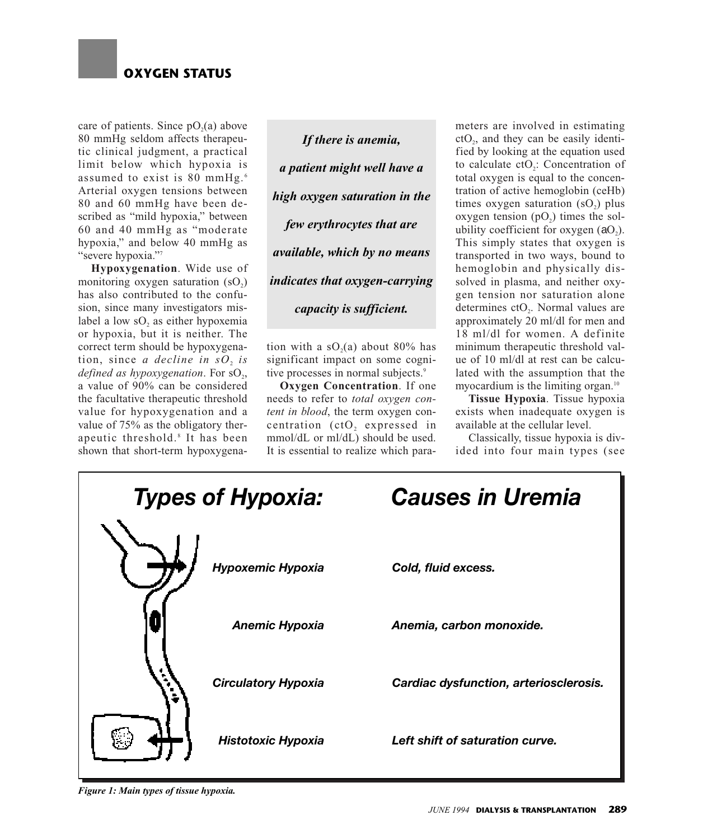

care of patients. Since  $pO<sub>2</sub>(a)$  above 80 mmHg seldom affects therapeutic clinical judgment, a practical limit below which hypoxia is assumed to exist is 80 mmHg. <sup>6</sup> Arterial oxygen tensions between 80 and 60 mmHg have been described as "mild hypoxia," between 60 and 40 mmHg as "moderate hypoxia," and below 40 mmHg as "severe hypoxia."7

**Hypoxygenation**. Wide use of monitoring oxygen saturation  $(SO<sub>2</sub>)$ has also contributed to the confusion, since many investigators mislabel a low  $SO<sub>2</sub>$  as either hypoxemia or hypoxia, but it is neither. The correct term should be hypoxygenation, since *a decline in sO*<sup>2</sup> *is defined as hypoxygenation*. For sO<sub>2</sub>, a value of 90% can be considered the facultative therapeutic threshold value for hypoxygenation and a value of 75% as the obligatory therapeutic threshold.<sup>8</sup> It has been shown that short-term hypoxygena-

*If there is anemia, a patient might well have a high oxygen saturation in the few erythrocytes that are available, which by no means indicates that oxygen-carrying capacity is sufficient.*

tion with a  $sO<sub>2</sub>(a)$  about 80% has significant impact on some cognitive processes in normal subjects.<sup>9</sup>

**Oxygen Concentration**. If one needs to refer to *total oxygen content in blood*, the term oxygen con $c$ entration  $(ctO,$  expressed in mmol/dL or ml/dL) should be used. It is essential to realize which parameters are involved in estimating  $ctO<sub>2</sub>$ , and they can be easily identified by looking at the equation used to calculate ctO<sub>2</sub>: Concentration of total oxygen is equal to the concentration of active hemoglobin (ceHb) times oxygen saturation  $(sO<sub>2</sub>)$  plus oxygen tension  $(pO<sub>2</sub>)$  times the solubility coefficient for oxygen  $(aO<sub>2</sub>)$ . This simply states that oxygen is transported in two ways, bound to hemoglobin and physically dissolved in plasma, and neither oxygen tension nor saturation alone determines ctO<sub>2</sub>. Normal values are approximately 20 ml/dl for men and 18 ml/dl for women. A definite minimum therapeutic threshold value of 10 ml/dl at rest can be calculated with the assumption that the myocardium is the limiting organ.<sup>10</sup>

**Tissue Hypoxia**. Tissue hypoxia exists when inadequate oxygen is available at the cellular level.

Classically, tissue hypoxia is divided into four main types (see



*Figure 1: Main types of tissue hypoxia.*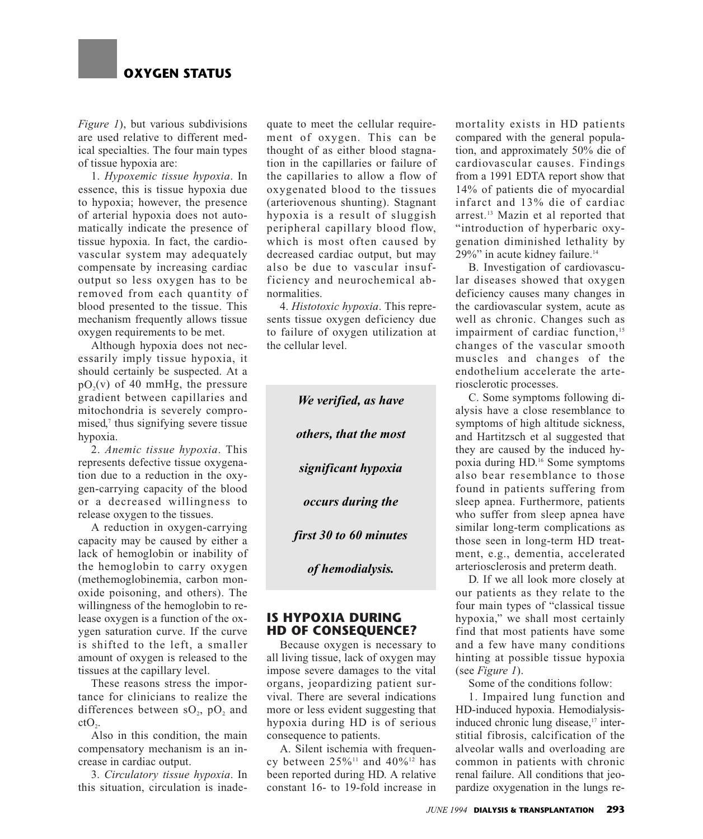

*Figure 1*), but various subdivisions are used relative to different medical specialties. The four main types of tissue hypoxia are:

1. *Hypoxemic tissue hypoxia*. In essence, this is tissue hypoxia due to hypoxia; however, the presence of arterial hypoxia does not automatically indicate the presence of tissue hypoxia. In fact, the cardiovascular system may adequately compensate by increasing cardiac output so less oxygen has to be removed from each quantity of blood presented to the tissue. This mechanism frequently allows tissue oxygen requirements to be met.

Although hypoxia does not necessarily imply tissue hypoxia, it should certainly be suspected. At a  $pO<sub>2</sub>(v)$  of 40 mmHg, the pressure gradient between capillaries and mitochondria is severely compromised, $\alpha$  thus signifying severe tissue hypoxia.

2. *Anemic tissue hypoxia*. This represents defective tissue oxygenation due to a reduction in the oxygen-carrying capacity of the blood or a decreased willingness to release oxygen to the tissues.

A reduction in oxygen-carrying capacity may be caused by either a lack of hemoglobin or inability of the hemoglobin to carry oxygen (methemoglobinemia, carbon monoxide poisoning, and others). The willingness of the hemoglobin to release oxygen is a function of the oxygen saturation curve. If the curve is shifted to the left, a smaller amount of oxygen is released to the tissues at the capillary level.

These reasons stress the importance for clinicians to realize the differences between  $SO_2$ ,  $pO_2$  and  $ctO<sub>2</sub>$ .

Also in this condition, the main compensatory mechanism is an increase in cardiac output.

3. *Circulatory tissue hypoxia*. In this situation, circulation is inadequate to meet the cellular requirement of oxygen. This can be thought of as either blood stagnation in the capillaries or failure of the capillaries to allow a flow of oxygenated blood to the tissues (arteriovenous shunting). Stagnant hypoxia is a result of sluggish peripheral capillary blood flow, which is most often caused by decreased cardiac output, but may also be due to vascular insufficiency and neurochemical abnormalities.

4. *Histotoxic hypoxia*. This represents tissue oxygen deficiency due to failure of oxygen utilization at the cellular level.

> *We verified, as have others, that the most significant hypoxia occurs during the first 30 to 60 minutes of hemodialysis.*

# **IS HYPOXIA DURING HD OF CONSEQUENCE?**

Because oxygen is necessary to all living tissue, lack of oxygen may impose severe damages to the vital organs, jeopardizing patient survival. There are several indications more or less evident suggesting that hypoxia during HD is of serious consequence to patients.

A. Silent ischemia with frequency between  $25\%$ <sup>11</sup> and  $40\%$ <sup>12</sup> has been reported during HD. A relative constant 16- to 19-fold increase in mortality exists in HD patients compared with the general population, and approximately 50% die of cardiovascular causes. Findings from a 1991 EDTA report show that 14% of patients die of myocardial infarct and 13% die of cardiac arrest.13 Mazin et al reported that "introduction of hyperbaric oxygenation diminished lethality by 29%" in acute kidney failure.<sup>14</sup>

B. Investigation of cardiovascular diseases showed that oxygen deficiency causes many changes in the cardiovascular system, acute as well as chronic. Changes such as impairment of cardiac function,<sup>15</sup> changes of the vascular smooth muscles and changes of the endothelium accelerate the arteriosclerotic processes.

C. Some symptoms following dialysis have a close resemblance to symptoms of high altitude sickness, and Hartitzsch et al suggested that they are caused by the induced hypoxia during HD.16 Some symptoms also bear resemblance to those found in patients suffering from sleep apnea. Furthermore, patients who suffer from sleep apnea have similar long-term complications as those seen in long-term HD treatment, e.g., dementia, accelerated arteriosclerosis and preterm death.

D. If we all look more closely at our patients as they relate to the four main types of "classical tissue hypoxia," we shall most certainly find that most patients have some and a few have many conditions hinting at possible tissue hypoxia (see *Figure 1*).

Some of the conditions follow:

1. Impaired lung function and HD-induced hypoxia. Hemodialysisinduced chronic lung disease,<sup>17</sup> interstitial fibrosis, calcification of the alveolar walls and overloading are common in patients with chronic renal failure. All conditions that jeopardize oxygenation in the lungs re-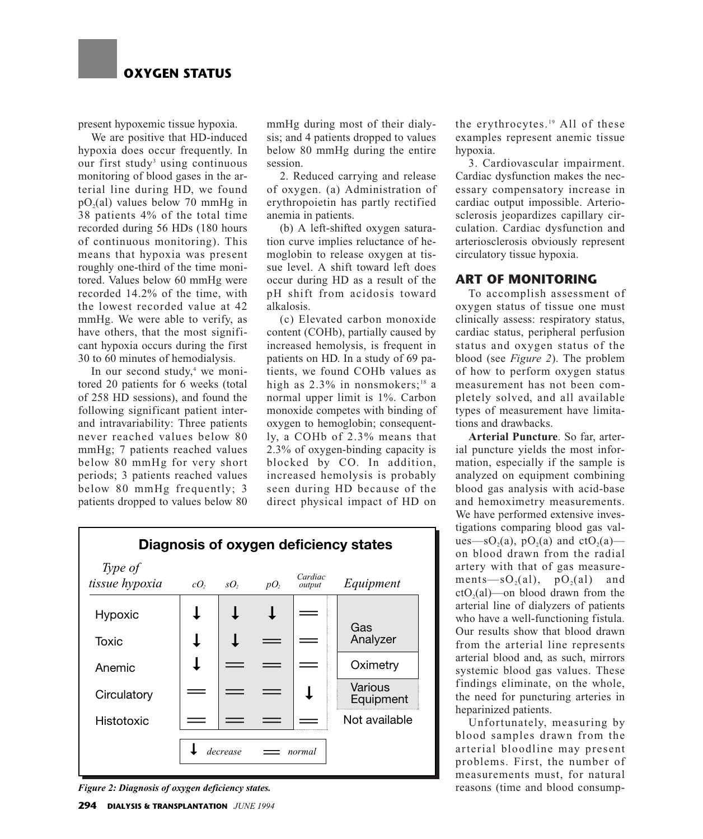

present hypoxemic tissue hypoxia.

We are positive that HD-induced hypoxia does occur frequently. In our first study<sup>3</sup> using continuous monitoring of blood gases in the arterial line during HD, we found  $pO<sub>2</sub>(al)$  values below 70 mmHg in 38 patients 4% of the total time recorded during 56 HDs (180 hours of continuous monitoring). This means that hypoxia was present roughly one-third of the time monitored. Values below 60 mmHg were recorded 14.2% of the time, with the lowest recorded value at 42 mmHg. We were able to verify, as have others, that the most significant hypoxia occurs during the first 30 to 60 minutes of hemodialysis.

In our second study, $4$  we monitored 20 patients for 6 weeks (total of 258 HD sessions), and found the following significant patient interand intravariability: Three patients never reached values below 80 mmHg; 7 patients reached values below 80 mmHg for very short periods; 3 patients reached values below 80 mmHg frequently; 3 patients dropped to values below 80

mmHg during most of their dialysis; and 4 patients dropped to values below 80 mmHg during the entire session.

2. Reduced carrying and release of oxygen. (a) Administration of erythropoietin has partly rectified anemia in patients.

(b) A left-shifted oxygen saturation curve implies reluctance of hemoglobin to release oxygen at tissue level. A shift toward left does occur during HD as a result of the pH shift from acidosis toward alkalosis.

(c) Elevated carbon monoxide content (COHb), partially caused by increased hemolysis, is frequent in patients on HD. In a study of 69 patients, we found COHb values as high as  $2.3\%$  in nonsmokers;<sup>18</sup> a normal upper limit is 1%. Carbon monoxide competes with binding of oxygen to hemoglobin; consequently, a COHb of 2.3% means that 2.3% of oxygen-binding capacity is blocked by CO. In addition, increased hemolysis is probably seen during HD because of the direct physical impact of HD on



*Figure 2: Diagnosis of oxygen deficiency states.*

the erythrocytes.<sup>19</sup> All of these examples represent anemic tissue hypoxia.

3. Cardiovascular impairment. Cardiac dysfunction makes the necessary compensatory increase in cardiac output impossible. Arteriosclerosis jeopardizes capillary circulation. Cardiac dysfunction and arteriosclerosis obviously represent circulatory tissue hypoxia.

## **ART OF MONITORING**

To accomplish assessment of oxygen status of tissue one must clinically assess: respiratory status, cardiac status, peripheral perfusion status and oxygen status of the blood (see *Figure 2*). The problem of how to perform oxygen status measurement has not been completely solved, and all available types of measurement have limitations and drawbacks.

**Arterial Puncture**. So far, arterial puncture yields the most information, especially if the sample is analyzed on equipment combining blood gas analysis with acid-base and hemoximetry measurements. We have performed extensive investigations comparing blood gas values—sO<sub>2</sub>(a), pO<sub>2</sub>(a) and ctO<sub>2</sub>(a) on blood drawn from the radial artery with that of gas measurements—s $O_2(a)$ ,  $pO_2(a)$  and  $ctO<sub>2</sub>(al)$ —on blood drawn from the arterial line of dialyzers of patients who have a well-functioning fistula. Our results show that blood drawn from the arterial line represents arterial blood and, as such, mirrors systemic blood gas values. These findings eliminate, on the whole, the need for puncturing arteries in heparinized patients.

Unfortunately, measuring by blood samples drawn from the arterial bloodline may present problems. First, the number of measurements must, for natural reasons (time and blood consump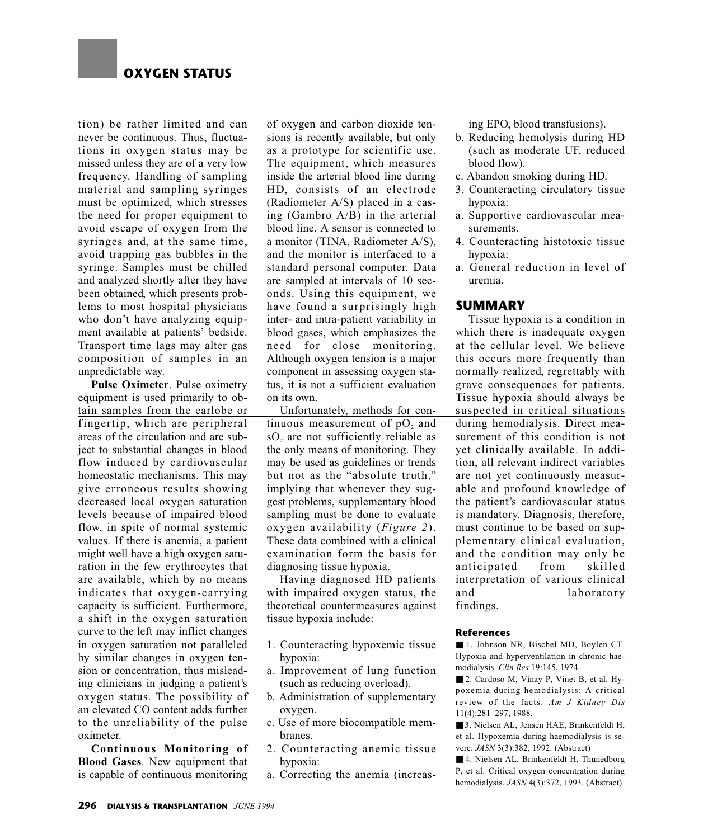tion) be rather limited and can never be continuous. Thus, fluctuations in oxygen status may be missed unless they are of a very low frequency. Handling of sampling material and sampling syringes must be optimized, which stresses the need for proper equipment to avoid escape of oxygen from the syringes and, at the same time, avoid trapping gas bubbles in the syringe. Samples must be chilled and analyzed shortly after they have been obtained, which presents problems to most hospital physicians who don't have analyzing equipment available at patients' bedside. Transport time lags may alter gas composition of samples in an unpredictable way.

**Pulse Oximeter**. Pulse oximetry equipment is used primarily to obtain samples from the earlobe or fingertip, which are peripheral areas of the circulation and are subject to substantial changes in blood flow induced by cardiovascular homeostatic mechanisms. This may give erroneous results showing decreased local oxygen saturation levels because of impaired blood flow, in spite of normal systemic values. If there is anemia, a patient might well have a high oxygen saturation in the few erythrocytes that are available, which by no means indicates that oxygen-carrying capacity is sufficient. Furthermore, a shift in the oxygen saturation curve to the left may inflict changes in oxygen saturation not paralleled by similar changes in oxygen tension or concentration, thus misleading clinicians in judging a patient's oxygen status. The possibility of an elevated CO content adds further to the unreliability of the pulse oximeter.

**Continuous Monitoring of Blood Gases**. New equipment that is capable of continuous monitoring

of oxygen and carbon dioxide tensions is recently available, but only as a prototype for scientific use. The equipment, which measures inside the arterial blood line during HD, consists of an electrode (Radiometer A/S) placed in a casing (Gambro A/B) in the arterial blood line. A sensor is connected to a monitor (TINA, Radiometer A/S), and the monitor is interfaced to a standard personal computer. Data are sampled at intervals of 10 seconds. Using this equipment, we have found a surprisingly high inter- and intra-patient variability in blood gases, which emphasizes the need for close monitoring. Although oxygen tension is a major component in assessing oxygen status, it is not a sufficient evaluation on its own.

Unfortunately, methods for continuous measurement of  $pO$ , and sO<sub>2</sub> are not sufficiently reliable as the only means of monitoring. They may be used as guidelines or trends but not as the "absolute truth," implying that whenever they suggest problems, supplementary blood sampling must be done to evaluate oxygen availability (*Figure 2*). These data combined with a clinical examination form the basis for diagnosing tissue hypoxia.

Having diagnosed HD patients with impaired oxygen status, the theoretical countermeasures against tissue hypoxia include:

- 1. Counteracting hypoxemic tissue hypoxia:
- a. Improvement of lung function (such as reducing overload).
- b. Administration of supplementary oxygen.
- c. Use of more biocompatible membranes.
- 2. Counteracting anemic tissue hypoxia:
- a. Correcting the anemia (increas-

ing EPO, blood transfusions).

- b. Reducing hemolysis during HD (such as moderate UF, reduced blood flow).
- c. Abandon smoking during HD.
- 3. Counteracting circulatory tissue hypoxia:
- a. Supportive cardiovascular measurements.
- 4. Counteracting histotoxic tissue hypoxia:
- a. General reduction in level of uremia.

## **SUMMARY**

Tissue hypoxia is a condition in which there is inadequate oxygen at the cellular level. We believe this occurs more frequently than normally realized, regrettably with grave consequences for patients. Tissue hypoxia should always be suspected in critical situations during hemodialysis. Direct measurement of this condition is not yet clinically available. In addition, all relevant indirect variables are not yet continuously measurable and profound knowledge of the patient's cardiovascular status is mandatory. Diagnosis, therefore, must continue to be based on supplementary clinical evaluation, and the condition may only be anticipated from skilled interpretation of various clinical and laboratory findings.

### **References**

■ 1. Johnson NR, Bischel MD, Boylen CT. Hypoxia and hyperventilation in chronic haemodialysis. *Clin Res* 19:145, 1974.

■ 2. Cardoso M, Vinay P, Vinet B, et al. Hypoxemia during hemodialysis: A critical review of the facts. *Am J Kidney Dis* 11(4):281–297, 1988.

■ 3. Nielsen AL, Jensen HAE, Brinkenfeldt H, et al. Hypoxemia during haemodialysis is severe. *JASN* 3(3):382, 1992. (Abstract)

■ 4. Nielsen AL, Brinkenfeldt H, Thunedborg P, et al. Critical oxygen concentration during hemodialysis. *JASN* 4(3):372, 1993. (Abstract)